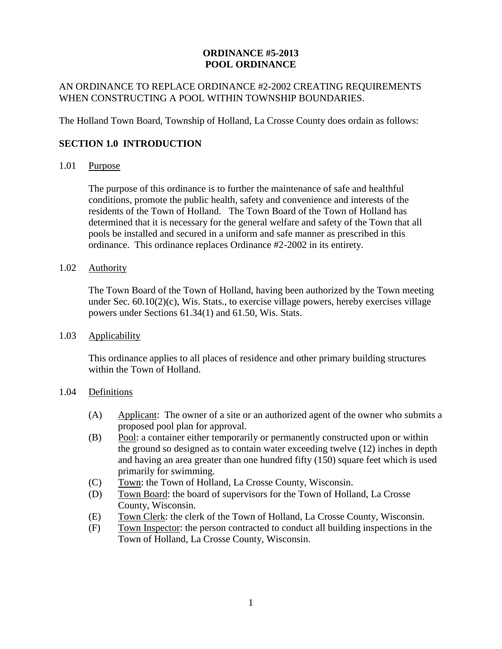### **ORDINANCE #5-2013 POOL ORDINANCE**

## AN ORDINANCE TO REPLACE ORDINANCE #2-2002 CREATING REQUIREMENTS WHEN CONSTRUCTING A POOL WITHIN TOWNSHIP BOUNDARIES.

The Holland Town Board, Township of Holland, La Crosse County does ordain as follows:

## **SECTION 1.0 INTRODUCTION**

### 1.01 Purpose

The purpose of this ordinance is to further the maintenance of safe and healthful conditions, promote the public health, safety and convenience and interests of the residents of the Town of Holland. The Town Board of the Town of Holland has determined that it is necessary for the general welfare and safety of the Town that all pools be installed and secured in a uniform and safe manner as prescribed in this ordinance. This ordinance replaces Ordinance #2-2002 in its entirety.

# 1.02 Authority

The Town Board of the Town of Holland, having been authorized by the Town meeting under Sec. 60.10(2)(c), Wis. Stats., to exercise village powers, hereby exercises village powers under Sections 61.34(1) and 61.50, Wis. Stats.

#### 1.03 Applicability

This ordinance applies to all places of residence and other primary building structures within the Town of Holland.

#### 1.04 Definitions

- (A) Applicant: The owner of a site or an authorized agent of the owner who submits a proposed pool plan for approval.
- (B) Pool: a container either temporarily or permanently constructed upon or within the ground so designed as to contain water exceeding twelve (12) inches in depth and having an area greater than one hundred fifty (150) square feet which is used primarily for swimming.
- (C) Town: the Town of Holland, La Crosse County, Wisconsin.
- (D) Town Board: the board of supervisors for the Town of Holland, La Crosse County, Wisconsin.
- (E) Town Clerk: the clerk of the Town of Holland, La Crosse County, Wisconsin.
- (F) Town Inspector: the person contracted to conduct all building inspections in the Town of Holland, La Crosse County, Wisconsin.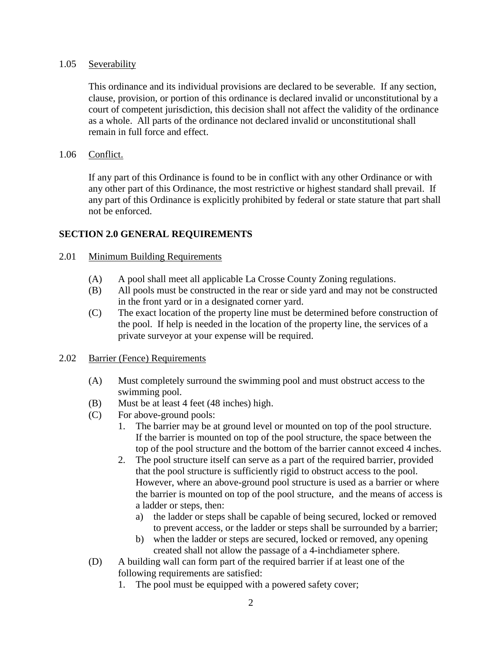#### 1.05 Severability

This ordinance and its individual provisions are declared to be severable. If any section, clause, provision, or portion of this ordinance is declared invalid or unconstitutional by a court of competent jurisdiction, this decision shall not affect the validity of the ordinance as a whole. All parts of the ordinance not declared invalid or unconstitutional shall remain in full force and effect.

### 1.06 Conflict.

If any part of this Ordinance is found to be in conflict with any other Ordinance or with any other part of this Ordinance, the most restrictive or highest standard shall prevail. If any part of this Ordinance is explicitly prohibited by federal or state stature that part shall not be enforced.

## **SECTION 2.0 GENERAL REQUIREMENTS**

#### 2.01 Minimum Building Requirements

- (A) A pool shall meet all applicable La Crosse County Zoning regulations.
- (B) All pools must be constructed in the rear or side yard and may not be constructed in the front yard or in a designated corner yard.
- (C) The exact location of the property line must be determined before construction of the pool. If help is needed in the location of the property line, the services of a private surveyor at your expense will be required.

#### 2.02 Barrier (Fence) Requirements

- (A) Must completely surround the swimming pool and must obstruct access to the swimming pool.
- (B) Must be at least 4 feet (48 inches) high.
- (C) For above-ground pools:
	- 1. The barrier may be at ground level or mounted on top of the pool structure. If the barrier is mounted on top of the pool structure, the space between the top of the pool structure and the bottom of the barrier cannot exceed 4 inches.
	- 2. The pool structure itself can serve as a part of the required barrier, provided that the pool structure is sufficiently rigid to obstruct access to the pool. However, where an above-ground pool structure is used as a barrier or where the barrier is mounted on top of the pool structure, and the means of access is a ladder or steps, then:
		- a) the ladder or steps shall be capable of being secured, locked or removed to prevent access, or the ladder or steps shall be surrounded by a barrier;
		- b) when the ladder or steps are secured, locked or removed, any opening created shall not allow the passage of a 4-inchdiameter sphere.
- (D) A building wall can form part of the required barrier if at least one of the following requirements are satisfied:
	- 1. The pool must be equipped with a powered safety cover;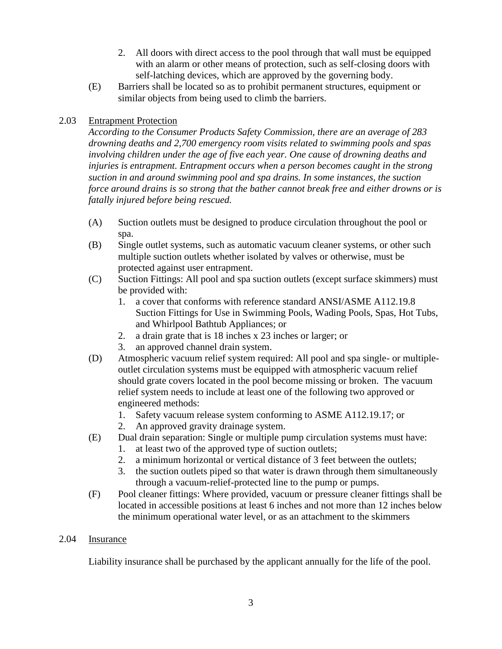- 2. All doors with direct access to the pool through that wall must be equipped with an alarm or other means of protection, such as self-closing doors with self-latching devices, which are approved by the governing body.
- (E) Barriers shall be located so as to prohibit permanent structures, equipment or similar objects from being used to climb the barriers.

# 2.03 Entrapment Protection

*According to the Consumer Products Safety Commission, there are an average of 283 drowning deaths and 2,700 emergency room visits related to swimming pools and spas involving children under the age of five each year. One cause of drowning deaths and injuries is entrapment. Entrapment occurs when a person becomes caught in the strong suction in and around swimming pool and spa drains. In some instances, the suction force around drains is so strong that the bather cannot break free and either drowns or is fatally injured before being rescued.*

- (A) Suction outlets must be designed to produce circulation throughout the pool or spa.
- (B) Single outlet systems, such as automatic vacuum cleaner systems, or other such multiple suction outlets whether isolated by valves or otherwise, must be protected against user entrapment.
- (C) Suction Fittings: All pool and spa suction outlets (except surface skimmers) must be provided with:
	- 1. a cover that conforms with reference standard ANSI/ASME A112.19.8 Suction Fittings for Use in Swimming Pools, Wading Pools, Spas, Hot Tubs, and Whirlpool Bathtub Appliances; or
	- 2. a drain grate that is 18 inches x 23 inches or larger; or
	- 3. an approved channel drain system.
- (D) Atmospheric vacuum relief system required: All pool and spa single- or multipleoutlet circulation systems must be equipped with atmospheric vacuum relief should grate covers located in the pool become missing or broken. The vacuum relief system needs to include at least one of the following two approved or engineered methods:
	- 1. Safety vacuum release system conforming to ASME A112.19.17; or
	- 2. An approved gravity drainage system.
- (E) Dual drain separation: Single or multiple pump circulation systems must have:
	- 1. at least two of the approved type of suction outlets;
	- 2. a minimum horizontal or vertical distance of 3 feet between the outlets;
	- 3. the suction outlets piped so that water is drawn through them simultaneously through a vacuum-relief-protected line to the pump or pumps.
- (F) Pool cleaner fittings: Where provided, vacuum or pressure cleaner fittings shall be located in accessible positions at least 6 inches and not more than 12 inches below the minimum operational water level, or as an attachment to the skimmers

## 2.04 Insurance

Liability insurance shall be purchased by the applicant annually for the life of the pool.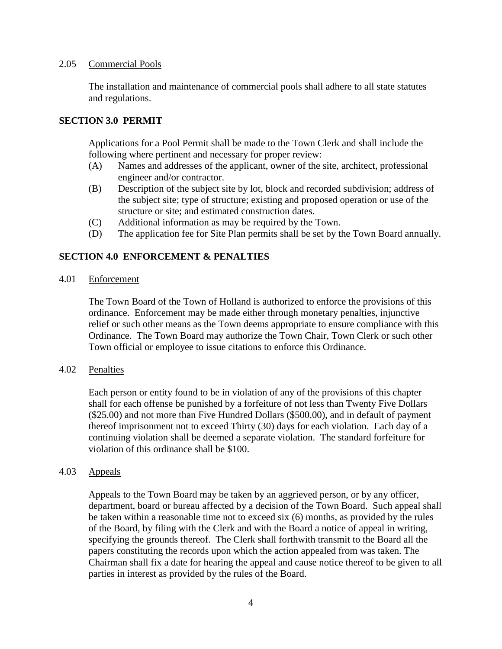#### 2.05 Commercial Pools

The installation and maintenance of commercial pools shall adhere to all state statutes and regulations.

#### **SECTION 3.0 PERMIT**

Applications for a Pool Permit shall be made to the Town Clerk and shall include the following where pertinent and necessary for proper review:

- (A) Names and addresses of the applicant, owner of the site, architect, professional engineer and/or contractor.
- (B) Description of the subject site by lot, block and recorded subdivision; address of the subject site; type of structure; existing and proposed operation or use of the structure or site; and estimated construction dates.
- (C) Additional information as may be required by the Town.
- (D) The application fee for Site Plan permits shall be set by the Town Board annually.

## **SECTION 4.0 ENFORCEMENT & PENALTIES**

4.01 Enforcement

The Town Board of the Town of Holland is authorized to enforce the provisions of this ordinance. Enforcement may be made either through monetary penalties, injunctive relief or such other means as the Town deems appropriate to ensure compliance with this Ordinance. The Town Board may authorize the Town Chair, Town Clerk or such other Town official or employee to issue citations to enforce this Ordinance.

#### 4.02 Penalties

Each person or entity found to be in violation of any of the provisions of this chapter shall for each offense be punished by a forfeiture of not less than Twenty Five Dollars (\$25.00) and not more than Five Hundred Dollars (\$500.00), and in default of payment thereof imprisonment not to exceed Thirty (30) days for each violation. Each day of a continuing violation shall be deemed a separate violation. The standard forfeiture for violation of this ordinance shall be \$100.

#### 4.03 Appeals

Appeals to the Town Board may be taken by an aggrieved person, or by any officer, department, board or bureau affected by a decision of the Town Board. Such appeal shall be taken within a reasonable time not to exceed six (6) months, as provided by the rules of the Board, by filing with the Clerk and with the Board a notice of appeal in writing, specifying the grounds thereof. The Clerk shall forthwith transmit to the Board all the papers constituting the records upon which the action appealed from was taken. The Chairman shall fix a date for hearing the appeal and cause notice thereof to be given to all parties in interest as provided by the rules of the Board.